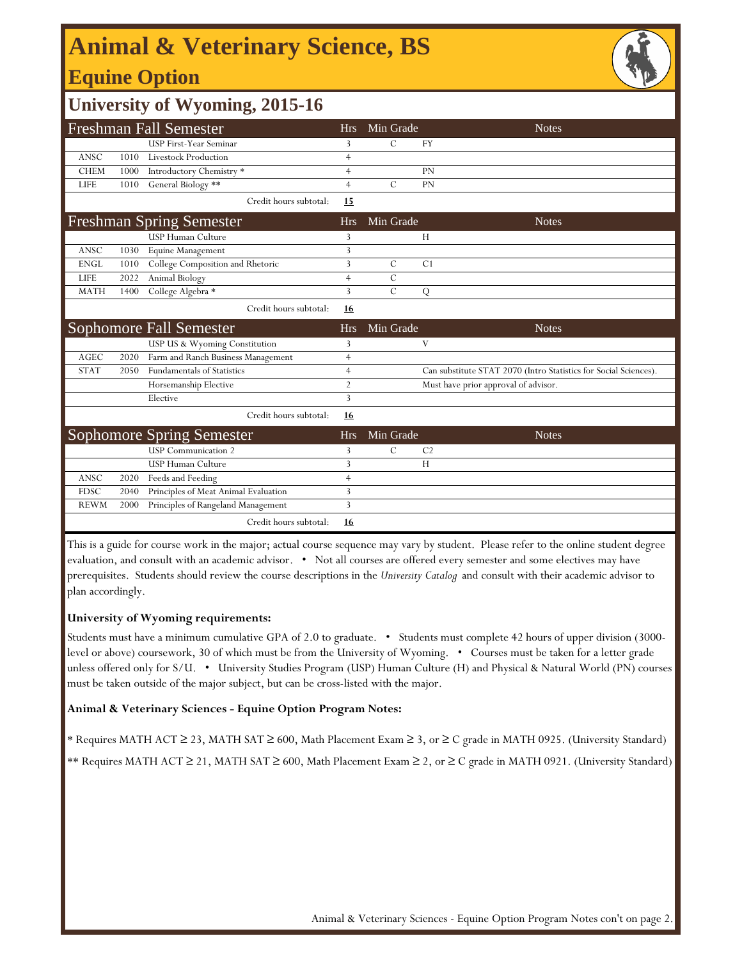# **Animal & Veterinary Science, BS**

## **Equine Option**



### **University of Wyoming, 2015-16**

|                                 |      | <b>Freshman Fall Semester</b>        | <b>Hrs</b>     | Min Grade      | <b>Notes</b>                                                     |
|---------------------------------|------|--------------------------------------|----------------|----------------|------------------------------------------------------------------|
|                                 |      | USP First-Year Seminar               | 3              | C              | FY                                                               |
| <b>ANSC</b>                     | 1010 | <b>Livestock Production</b>          | $\overline{4}$ |                |                                                                  |
| <b>CHEM</b>                     | 1000 | Introductory Chemistry <sup>*</sup>  | $\overline{4}$ |                | PN                                                               |
| <b>LIFE</b>                     | 1010 | General Biology **                   | $\overline{4}$ | $\mathcal{C}$  | PN                                                               |
|                                 |      | Credit hours subtotal:               | <u>15</u>      |                |                                                                  |
| <b>Freshman Spring Semester</b> |      |                                      | <b>Hrs</b>     | Min Grade      | <b>Notes</b>                                                     |
|                                 |      | <b>USP Human Culture</b>             | 3              |                | H                                                                |
| ANSC                            | 1030 | Equine Management                    | 3              |                |                                                                  |
| <b>ENGL</b>                     | 1010 | College Composition and Rhetoric     | 3              | $\mathcal{C}$  | C <sub>1</sub>                                                   |
| <b>LIFE</b>                     | 2022 | Animal Biology                       | $\overline{4}$ | $\mathcal{C}$  |                                                                  |
| <b>MATH</b>                     | 1400 | College Algebra *                    | 3              | $\overline{C}$ | Q                                                                |
|                                 |      | Credit hours subtotal:               | <u>16</u>      |                |                                                                  |
|                                 |      | Sophomore Fall Semester              | <b>Hrs</b>     | Min Grade      | <b>Notes</b>                                                     |
|                                 |      | USP US & Wyoming Constitution        | 3              |                | V                                                                |
| <b>AGEC</b>                     | 2020 | Farm and Ranch Business Management   | $\overline{4}$ |                |                                                                  |
| <b>STAT</b>                     | 2050 | <b>Fundamentals of Statistics</b>    | $\overline{4}$ |                | Can substitute STAT 2070 (Intro Statistics for Social Sciences). |
|                                 |      | Horsemanship Elective                | $\overline{2}$ |                | Must have prior approval of advisor.                             |
|                                 |      | Elective                             | 3              |                |                                                                  |
|                                 |      | Credit hours subtotal:               | <u>16</u>      |                |                                                                  |
|                                 |      | <b>Sophomore Spring Semester</b>     | <b>Hrs</b>     | Min Grade      | <b>Notes</b>                                                     |
|                                 |      | <b>USP</b> Communication 2           | 3              | C              | C <sub>2</sub>                                                   |
|                                 |      | USP Human Culture                    | 3              |                | H                                                                |
| ANSC                            | 2020 | Feeds and Feeding                    | $\overline{4}$ |                |                                                                  |
| <b>FDSC</b>                     | 2040 | Principles of Meat Animal Evaluation | 3              |                |                                                                  |
| <b>REWM</b>                     | 2000 | Principles of Rangeland Management   | 3              |                |                                                                  |
|                                 |      | Credit hours subtotal:               | <u>16</u>      |                |                                                                  |

This is a guide for course work in the major; actual course sequence may vary by student. Please refer to the online student degree evaluation, and consult with an academic advisor. • Not all courses are offered every semester and some electives may have prerequisites. Students should review the course descriptions in the *University Catalog* and consult with their academic advisor to plan accordingly.

#### **University of Wyoming requirements:**

Students must have a minimum cumulative GPA of 2.0 to graduate. • Students must complete 42 hours of upper division (3000 level or above) coursework, 30 of which must be from the University of Wyoming. • Courses must be taken for a letter grade unless offered only for S/U. • University Studies Program (USP) Human Culture (H) and Physical & Natural World (PN) courses must be taken outside of the major subject, but can be cross-listed with the major.

#### **Animal & Veterinary Sciences - Equine Option Program Notes:**

\* Requires MATH ACT ≥ 23, MATH SAT ≥ 600, Math Placement Exam ≥ 3, or ≥ C grade in MATH 0925. (University Standard)

\*\* Requires MATH ACT ≥ 21, MATH SAT ≥ 600, Math Placement Exam ≥ 2, or ≥ C grade in MATH 0921. (University Standard)